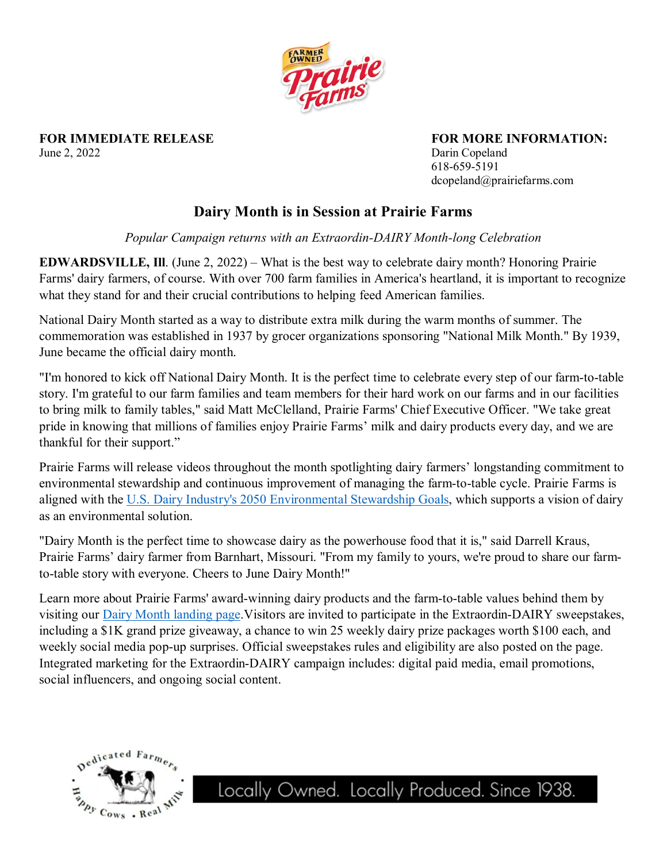

**FOR IMMEDIATE RELEASE <b>FOR MORE INFORMATION:** June 2, 2022 Darin Copeland

618-659-5191 dcopeland@prairiefarms.com

## **Dairy Month is in Session at Prairie Farms**

*Popular Campaign returns with an Extraordin-DAIRY Month-long Celebration*

**EDWARDSVILLE, Ill**. (June 2, 2022) – What is the best way to celebrate dairy month? Honoring Prairie Farms' dairy farmers, of course. With over 700 farm families in America's heartland, it is important to recognize what they stand for and their crucial contributions to helping feed American families.

National Dairy Month started as a way to distribute extra milk during the warm months of summer. The commemoration was established in 1937 by grocer organizations sponsoring "National Milk Month." By 1939, June became the official dairy month.

"I'm honored to kick off National Dairy Month. It is the perfect time to celebrate every step of our farm-to-table story. I'm grateful to our farm families and team members for their hard work on our farms and in our facilities to bring milk to family tables," said Matt McClelland, Prairie Farms' Chief Executive Officer. "We take great pride in knowing that millions of families enjoy Prairie Farms' milk and dairy products every day, and we are thankful for their support."

Prairie Farms will release videos throughout the month spotlighting dairy farmers' longstanding commitment to environmental stewardship and continuous improvement of managing the farm-to-table cycle. Prairie Farms is aligned with the [U.S. Dairy Industry's 2050 Environmental Stewardship Goals,](https://www.usdairy.com/sustainability/environmental-sustainability) which supports a vision of dairy as an environmental solution.

"Dairy Month is the perfect time to showcase dairy as the powerhouse food that it is," said Darrell Kraus, Prairie Farms' dairy farmer from Barnhart, Missouri. "From my family to yours, we're proud to share our farmto-table story with everyone. Cheers to June Dairy Month!"

Learn more about Prairie Farms' award-winning dairy products and the farm-to-table values behind them by visiting our [Dairy Month landing page.](http://www.prairiefarms.com/dairymonth)Visitors are invited to participate in the Extraordin-DAIRY sweepstakes, including a \$1K grand prize giveaway, a chance to win 25 weekly dairy prize packages worth \$100 each, and weekly social media pop-up surprises. Official sweepstakes rules and eligibility are also posted on the page. Integrated marketing for the Extraordin-DAIRY campaign includes: digital paid media, email promotions, social influencers, and ongoing social content.



Locally Owned. Locally Produced. Since 1938.